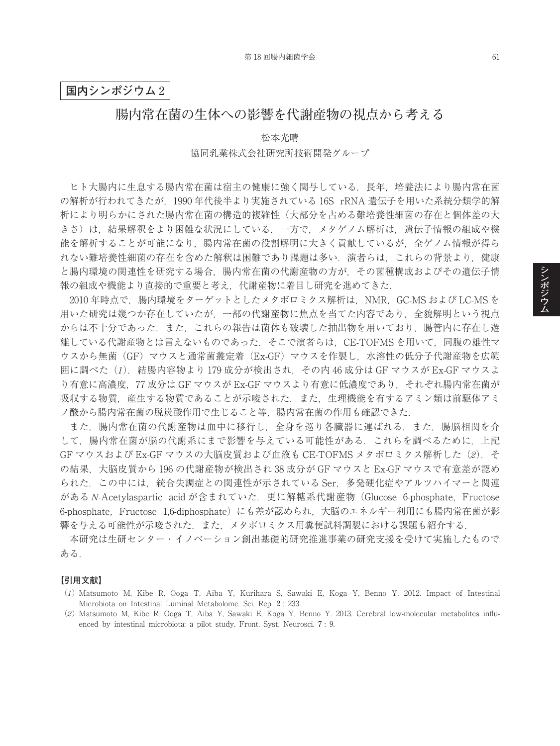## **国内シンポジウム** 2

# **腸内常在菌の生体への影響を代謝産物の視点から考える**

松本光晴 協同乳業株式会社研究所技術開発グループ

ヒト大腸内に生息する腸内常在菌は宿主の健康に強く関与している.長年,培養法により腸内常在菌 の解析が行われてきたが,1990 年代後半より実施されている 16S rRNA 遺伝子を用いた系統分類学的解 析により明らかにされた腸内常在菌の構造的複雑性(大部分を占める難培養性細菌の存在と個体差の大 きさ)は,結果解釈をより困難な状況にしている.一方で,メタゲノム解析は,遺伝子情報の組成や機 能を解析することが可能になり,腸内常在菌の役割解明に大きく貢献しているが,全ゲノム情報が得ら れない難培養性細菌の存在を含めた解釈は困難であり課題は多い. 演者らは、これらの背景より, 健康 と腸内環境の関連性を研究する場合,腸内常在菌の代謝産物の方が,その菌種構成およびその遺伝子情 報の組成や機能より直接的で重要と考え,代謝産物に着目し研究を進めてきた.

2010 年時点で,腸内環境をターゲットとしたメタボロミクス解析は,NMR,GC-MS および LC-MS を 用いた研究は幾つか存在していたが,一部の代謝産物に焦点を当てた内容であり,全貌解明という視点 からは不十分であった.また,これらの報告は菌体も破壊した抽出物を用いており,腸管内に存在し遊 離している代謝産物とは言えないものであった. そこで演者らは、CE-TOFMS を用いて、同腹の雄性マ ウスから無菌(GF)マウスと通常菌叢定着(Ex-GF)マウスを作製し、水溶性の低分子代謝産物を広範 囲に調べた(*1*).結腸内容物より 179 成分が検出され,その内 46 成分は GF マウスが Ex-GF マウスよ り有意に高濃度, 77 成分は GF マウスが Ex-GF マウスより有意に低濃度であり, それぞれ腸内常在菌が 吸収する物質,産生する物質であることが示唆された. また、生理機能を有するアミン類は前駆体アミ ノ酸から腸内常在菌の脱炭酸作用で生じること等,腸内常在菌の作用も確認できた.

また,腸内常在菌の代謝産物は血中に移行し,全身を巡り各臓器に運ばれる.また,腸脳相関を介 して,腸内常在菌が脳の代謝系にまで影響を与えている可能性がある.これらを調べるために,上記 GF マウスおよび Ex-GF マウスの大脳皮質および血液も CE-TOFMS メタボロミクス解析した(*2*).そ の結果, 大脳皮質から 196 の代謝産物が検出され 38 成分が GF マウスと Ex-GF マウスで有意差が認め られた.この中には,統合失調症との関連性が示されている Ser,多発硬化症やアルツハイマーと関連 がある *N*-Acetylaspartic acid が含まれていた. 更に解糖系代謝産物 (Glucose 6-phosphate, Fructose 6-phosphate, Fructose 1,6-diphosphate)にも差が認められ、大脳のエネルギー利用にも腸内常在菌が影 響を与える可能性が示唆された.また,メタボロミクス用糞便試料調製における課題も紹介する.

本研究は生研センター・イノベーション創出基礎的研究推進事業の研究支援を受けて実施したもので ある.

#### **【引用文献】**

- (*1*) Matsumoto M, Kibe R, Ooga T, Aiba Y, Kurihara S, Sawaki E, Koga Y, Benno Y. 2012. Impact of Intestinal Microbiota on Intestinal Luminal Metabolome. Sci. Rep. 2 : 233.
- (*2*) Matsumoto M, Kibe R, Ooga T, Aiba Y, Sawaki E, Koga Y, Benno Y. 2013. Cerebral low-molecular metabolites influenced by intestinal microbiota: a pilot study. Front. Syst. Neurosci. 7 : 9.